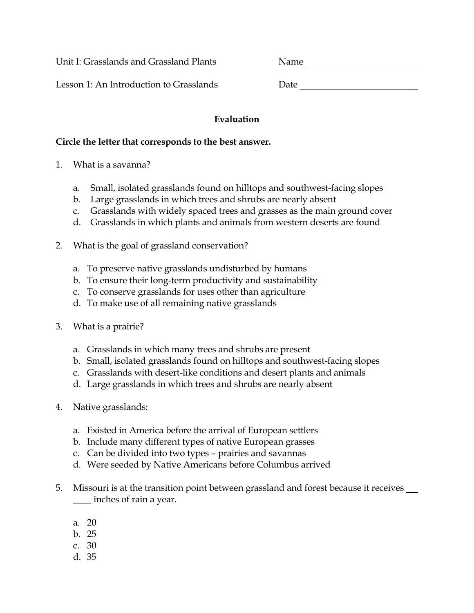Unit I: Grasslands and Grassland Plants Name

Lesson 1: An Introduction to Grasslands Date Date

## **Evaluation**

#### **Circle the letter that corresponds to the best answer.**

- 1. What is a savanna?
	- a. Small, isolated grasslands found on hilltops and southwest-facing slopes
	- b. Large grasslands in which trees and shrubs are nearly absent
	- c. Grasslands with widely spaced trees and grasses as the main ground cover
	- d. Grasslands in which plants and animals from western deserts are found
- 2. What is the goal of grassland conservation?
	- a. To preserve native grasslands undisturbed by humans
	- b. To ensure their long-term productivity and sustainability
	- c. To conserve grasslands for uses other than agriculture
	- d. To make use of all remaining native grasslands
- 3. What is a prairie?
	- a. Grasslands in which many trees and shrubs are present
	- b. Small, isolated grasslands found on hilltops and southwest-facing slopes
	- c. Grasslands with desert-like conditions and desert plants and animals
	- d. Large grasslands in which trees and shrubs are nearly absent
- 4. Native grasslands:
	- a. Existed in America before the arrival of European settlers
	- b. Include many different types of native European grasses
	- c. Can be divided into two types prairies and savannas
	- d. Were seeded by Native Americans before Columbus arrived
- 5. Missouri is at the transition point between grassland and forest because it receives \_\_\_\_ inches of rain a year.
	- a. 20
	- b. 25
	- c. 30
	- d. 35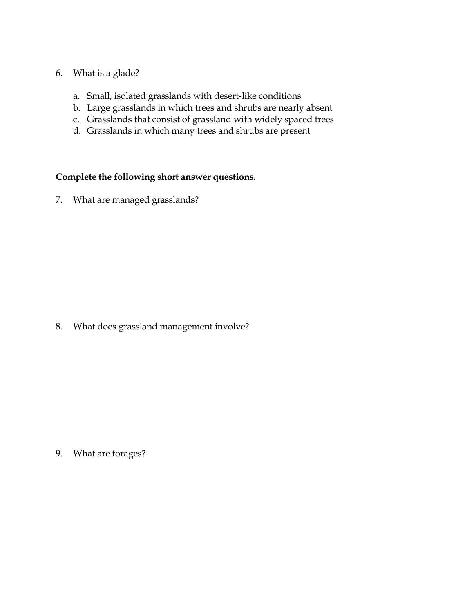## 6. What is a glade?

- a. Small, isolated grasslands with desert-like conditions
- b. Large grasslands in which trees and shrubs are nearly absent
- c. Grasslands that consist of grassland with widely spaced trees
- d. Grasslands in which many trees and shrubs are present

## **Complete the following short answer questions.**

7. What are managed grasslands?

8. What does grassland management involve?

9. What are forages?